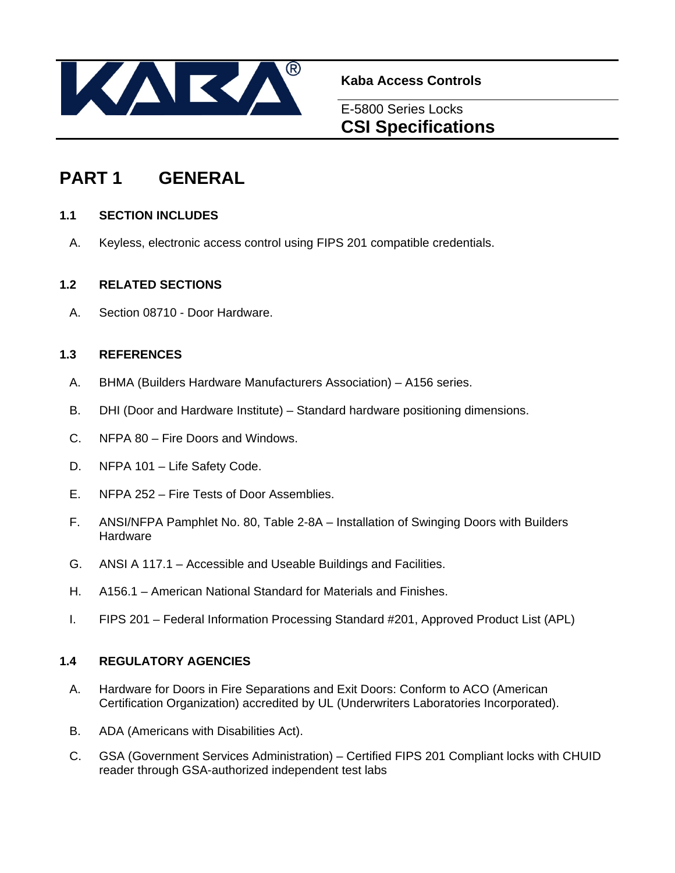

**Kaba Access Controls** 

## E-5800 Series Locks **CSI Specifications**

## **PART 1 GENERAL**

## **1.1 SECTION INCLUDES**

A. Keyless, electronic access control using FIPS 201 compatible credentials.

## **1.2 RELATED SECTIONS**

A. Section 08710 - Door Hardware.

## **1.3 REFERENCES**

- A. BHMA (Builders Hardware Manufacturers Association) A156 series.
- B. DHI (Door and Hardware Institute) Standard hardware positioning dimensions.
- C. NFPA 80 Fire Doors and Windows.
- D. NFPA 101 Life Safety Code.
- E. NFPA 252 Fire Tests of Door Assemblies.
- F. ANSI/NFPA Pamphlet No. 80, Table 2-8A Installation of Swinging Doors with Builders Hardware
- G. ANSI A 117.1 Accessible and Useable Buildings and Facilities.
- H. A156.1 American National Standard for Materials and Finishes.
- I. FIPS 201 Federal Information Processing Standard #201, Approved Product List (APL)

## **1.4 REGULATORY AGENCIES**

- A. Hardware for Doors in Fire Separations and Exit Doors: Conform to ACO (American Certification Organization) accredited by UL (Underwriters Laboratories Incorporated).
- B. ADA (Americans with Disabilities Act).
- C. GSA (Government Services Administration) Certified FIPS 201 Compliant locks with CHUID reader through GSA-authorized independent test labs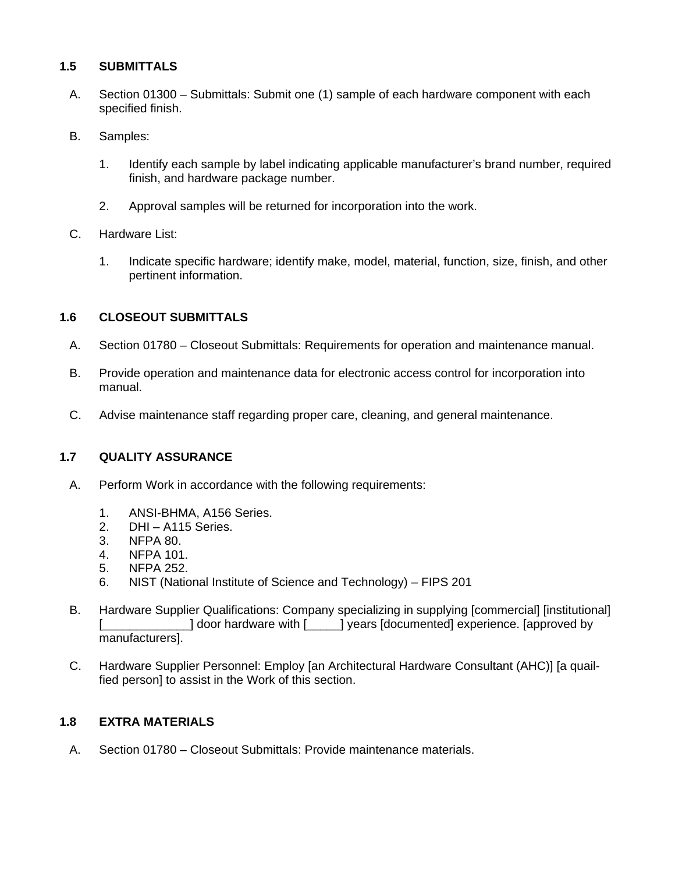## **1.5 SUBMITTALS**

- A. Section 01300 Submittals: Submit one (1) sample of each hardware component with each specified finish.
- B. Samples:
	- 1. Identify each sample by label indicating applicable manufacturer's brand number, required finish, and hardware package number.
	- 2. Approval samples will be returned for incorporation into the work.
- C. Hardware List:
	- 1. Indicate specific hardware; identify make, model, material, function, size, finish, and other pertinent information.

#### **1.6 CLOSEOUT SUBMITTALS**

- A. Section 01780 Closeout Submittals: Requirements for operation and maintenance manual.
- B. Provide operation and maintenance data for electronic access control for incorporation into manual.
- C. Advise maintenance staff regarding proper care, cleaning, and general maintenance.

#### **1.7 QUALITY ASSURANCE**

- A. Perform Work in accordance with the following requirements:
	- 1. ANSI-BHMA, A156 Series.
	- 2. DHI A115 Series.
	- 3. NFPA 80.
	- 4. NFPA 101.
	- 5. NFPA 252.
	- 6. NIST (National Institute of Science and Technology) FIPS 201
- B. Hardware Supplier Qualifications: Company specializing in supplying [commercial] [institutional] [\_\_\_\_\_\_\_\_\_\_\_\_] door hardware with [\_\_\_\_] years [documented] experience. [approved by manufacturers].
- C. Hardware Supplier Personnel: Employ [an Architectural Hardware Consultant (AHC)] [a quailfied person] to assist in the Work of this section.

#### **1.8 EXTRA MATERIALS**

A. Section 01780 – Closeout Submittals: Provide maintenance materials.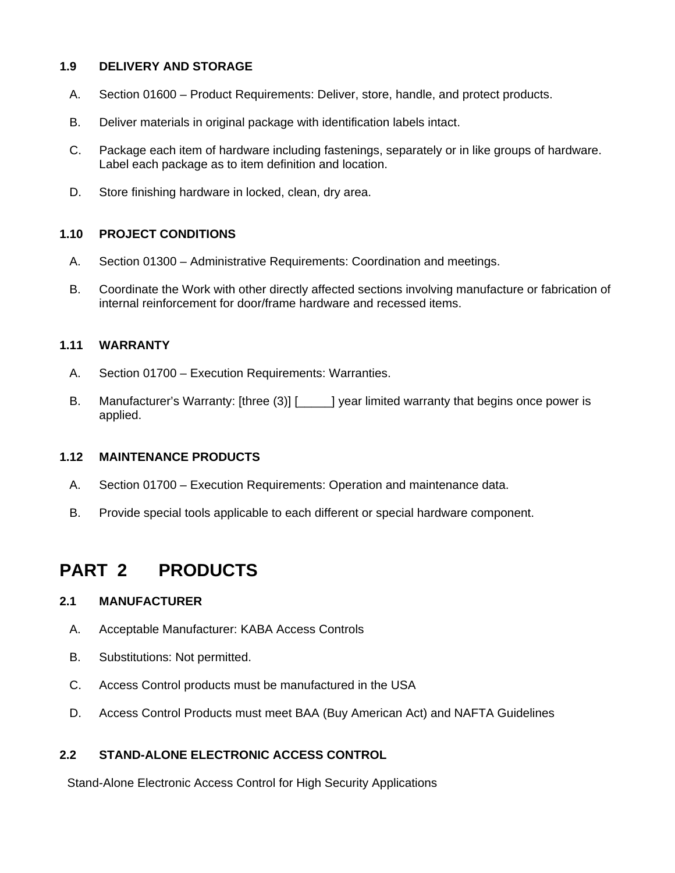### **1.9 DELIVERY AND STORAGE**

- A. Section 01600 Product Requirements: Deliver, store, handle, and protect products.
- B. Deliver materials in original package with identification labels intact.
- C. Package each item of hardware including fastenings, separately or in like groups of hardware. Label each package as to item definition and location.
- D. Store finishing hardware in locked, clean, dry area.

#### **1.10 PROJECT CONDITIONS**

- A. Section 01300 Administrative Requirements: Coordination and meetings.
- B. Coordinate the Work with other directly affected sections involving manufacture or fabrication of internal reinforcement for door/frame hardware and recessed items.

### **1.11 WARRANTY**

- A. Section 01700 Execution Requirements: Warranties.
- B. Manufacturer's Warranty: [three (3)] [ \_\_\_\_\_] year limited warranty that begins once power is applied.

#### **1.12 MAINTENANCE PRODUCTS**

- A. Section 01700 Execution Requirements: Operation and maintenance data.
- B. Provide special tools applicable to each different or special hardware component.

## **PART 2 PRODUCTS**

#### **2.1 MANUFACTURER**

- A. Acceptable Manufacturer: KABA Access Controls
- B. Substitutions: Not permitted.
- C. Access Control products must be manufactured in the USA
- D. Access Control Products must meet BAA (Buy American Act) and NAFTA Guidelines

#### **2.2 STAND-ALONE ELECTRONIC ACCESS CONTROL**

Stand-Alone Electronic Access Control for High Security Applications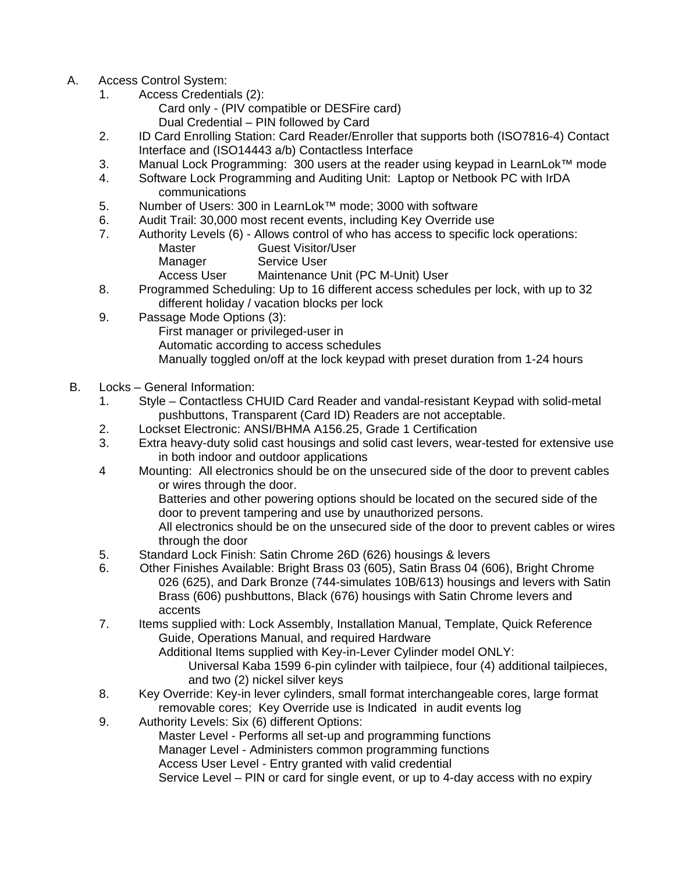- A. Access Control System:
	- 1. Access Credentials (2):
		- Card only (PIV compatible or DESFire card) Dual Credential – PIN followed by Card
	- 2. ID Card Enrolling Station: Card Reader/Enroller that supports both (ISO7816-4) Contact Interface and (ISO14443 a/b) Contactless Interface
	- 3. Manual Lock Programming: 300 users at the reader using keypad in LearnLok™ mode
	- 4. Software Lock Programming and Auditing Unit: Laptop or Netbook PC with IrDA communications
	- 5. Number of Users: 300 in LearnLok™ mode; 3000 with software
	- 6. Audit Trail: 30,000 most recent events, including Key Override use
	- 7. Authority Levels (6) Allows control of who has access to specific lock operations: Master **Guest Visitor/User** Manager Service User

Access User Maintenance Unit (PC M-Unit) User

- 8. Programmed Scheduling: Up to 16 different access schedules per lock, with up to 32 different holiday / vacation blocks per lock
- 9. Passage Mode Options (3):
	- First manager or privileged-user in

Automatic according to access schedules

Manually toggled on/off at the lock keypad with preset duration from 1-24 hours

- B. Locks General Information:
	- 1. Style Contactless CHUID Card Reader and vandal-resistant Keypad with solid-metal pushbuttons, Transparent (Card ID) Readers are not acceptable.
	- 2. Lockset Electronic: ANSI/BHMA A156.25, Grade 1 Certification
	- 3. Extra heavy-duty solid cast housings and solid cast levers, wear-tested for extensive use in both indoor and outdoor applications
	- 4 Mounting: All electronics should be on the unsecured side of the door to prevent cables or wires through the door.

 Batteries and other powering options should be located on the secured side of the door to prevent tampering and use by unauthorized persons.

 All electronics should be on the unsecured side of the door to prevent cables or wires through the door

- 5. Standard Lock Finish: Satin Chrome 26D (626) housings & levers
- 6. Other Finishes Available: Bright Brass 03 (605), Satin Brass 04 (606), Bright Chrome 026 (625), and Dark Bronze (744-simulates 10B/613) housings and levers with Satin Brass (606) pushbuttons, Black (676) housings with Satin Chrome levers and accents
- 7. Items supplied with: Lock Assembly, Installation Manual, Template, Quick Reference Guide, Operations Manual, and required Hardware

Additional Items supplied with Key-in-Lever Cylinder model ONLY:

 Universal Kaba 1599 6-pin cylinder with tailpiece, four (4) additional tailpieces, and two (2) nickel silver keys

- 8. Key Override: Key-in lever cylinders, small format interchangeable cores, large format removable cores; Key Override use is Indicated in audit events log
- 9. Authority Levels: Six (6) different Options:

Master Level - Performs all set-up and programming functions

Manager Level - Administers common programming functions

Access User Level - Entry granted with valid credential

Service Level – PIN or card for single event, or up to 4-day access with no expiry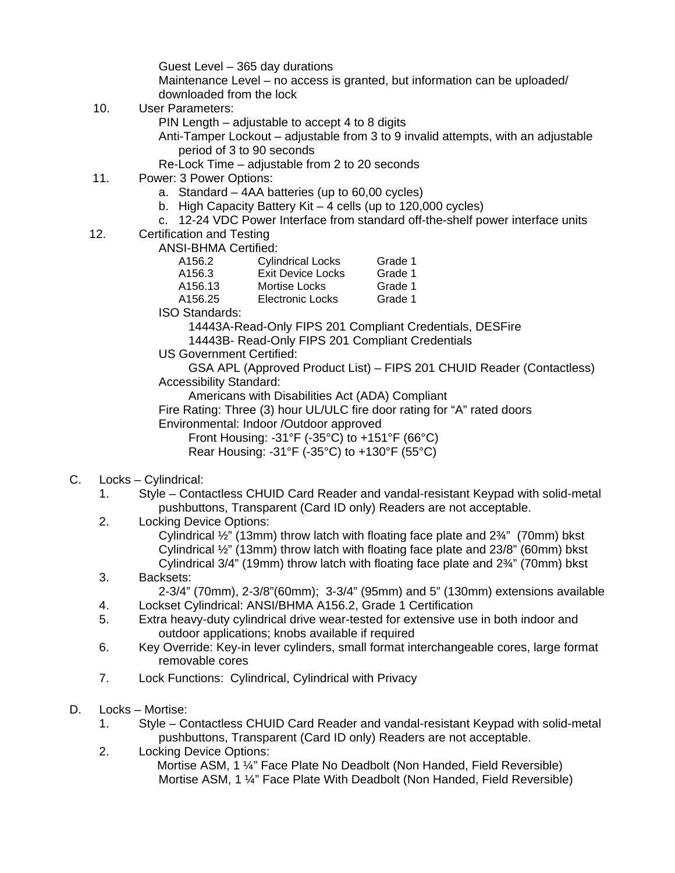Guest Level – 365 day durations Maintenance Level – no access is granted, but information can be uploaded/ downloaded from the lock

- 10. User Parameters:
	- PIN Length adjustable to accept 4 to 8 digits
	- Anti-Tamper Lockout adjustable from 3 to 9 invalid attempts, with an adjustable period of 3 to 90 seconds
	- Re-Lock Time adjustable from 2 to 20 seconds
- 11. Power: 3 Power Options:
	- a. Standard 4AA batteries (up to 60,00 cycles)
	- b. High Capacity Battery Kit 4 cells (up to 120,000 cycles)
	- c. 12-24 VDC Power Interface from standard off-the-shelf power interface units
- 12. Certification and Testing
	- ANSI-BHMA Certified:

| A156.2  | <b>Cylindrical Locks</b> | Grade 1 |
|---------|--------------------------|---------|
| A156.3  | Exit Device Locks        | Grade 1 |
| A156.13 | Mortise Locks            | Grade 1 |
| A156.25 | Electronic Locks         | Grade 1 |
|         |                          |         |

ISO Standards:

 14443A-Read-Only FIPS 201 Compliant Credentials, DESFire 14443B- Read-Only FIPS 201 Compliant Credentials

US Government Certified:

 GSA APL (Approved Product List) – FIPS 201 CHUID Reader (Contactless) Accessibility Standard:

Americans with Disabilities Act (ADA) Compliant

 Fire Rating: Three (3) hour UL/ULC fire door rating for "A" rated doors Environmental: Indoor /Outdoor approved

 Front Housing: -31°F (-35°C) to +151°F (66°C) Rear Housing: -31°F (-35°C) to +130°F (55°C)

- C. Locks Cylindrical:
	- 1. Style Contactless CHUID Card Reader and vandal-resistant Keypad with solid-metal pushbuttons, Transparent (Card ID only) Readers are not acceptable.
	- 2. Locking Device Options:

Cylindrical ½" (13mm) throw latch with floating face plate and 2¾" (70mm) bkst Cylindrical ½" (13mm) throw latch with floating face plate and 23/8" (60mm) bkst Cylindrical 3/4" (19mm) throw latch with floating face plate and 2¾" (70mm) bkst

3. Backsets:

2-3/4" (70mm), 2-3/8"(60mm); 3-3/4" (95mm) and 5" (130mm) extensions available

- 4. Lockset Cylindrical: ANSI/BHMA A156.2, Grade 1 Certification
- 5. Extra heavy-duty cylindrical drive wear-tested for extensive use in both indoor and outdoor applications; knobs available if required
- 6. Key Override: Key-in lever cylinders, small format interchangeable cores, large format removable cores
- 7. Lock Functions: Cylindrical, Cylindrical with Privacy
- D. Locks Mortise:
	- 1. Style Contactless CHUID Card Reader and vandal-resistant Keypad with solid-metal pushbuttons, Transparent (Card ID only) Readers are not acceptable.
	- 2. Locking Device Options:
		- Mortise ASM, 1 ¼" Face Plate No Deadbolt (Non Handed, Field Reversible) Mortise ASM, 1 ¼" Face Plate With Deadbolt (Non Handed, Field Reversible)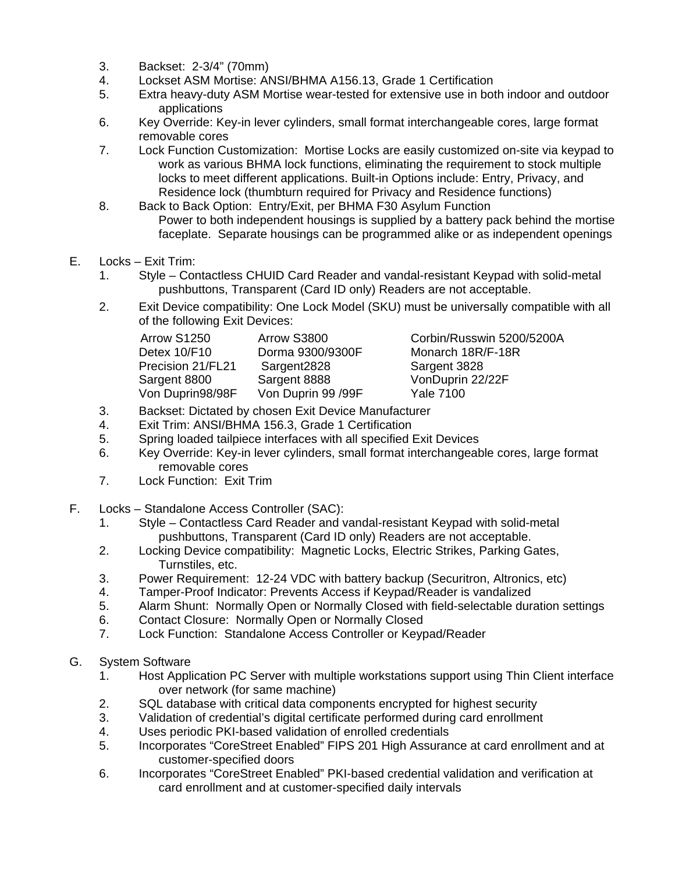- 3. Backset: 2-3/4" (70mm)
- 4. Lockset ASM Mortise: ANSI/BHMA A156.13, Grade 1 Certification
- 5. Extra heavy-duty ASM Mortise wear-tested for extensive use in both indoor and outdoor applications
- 6. Key Override: Key-in lever cylinders, small format interchangeable cores, large format removable cores
- 7. Lock Function Customization: Mortise Locks are easily customized on-site via keypad to work as various BHMA lock functions, eliminating the requirement to stock multiple locks to meet different applications. Built-in Options include: Entry, Privacy, and Residence lock (thumbturn required for Privacy and Residence functions)
- 8. Back to Back Option: Entry/Exit, per BHMA F30 Asylum Function Power to both independent housings is supplied by a battery pack behind the mortise faceplate. Separate housings can be programmed alike or as independent openings
- E. Locks Exit Trim:
	- 1. Style Contactless CHUID Card Reader and vandal-resistant Keypad with solid-metal pushbuttons, Transparent (Card ID only) Readers are not acceptable.
	- 2. Exit Device compatibility: One Lock Model (SKU) must be universally compatible with all of the following Exit Devices:

| Arrow S1250       | Arrow S3800        |
|-------------------|--------------------|
| Detex 10/F10      | Dorma 9300/9300F   |
| Precision 21/FL21 | Sargent2828        |
| Sargent 8800      | Sargent 8888       |
| Von Duprin98/98F  | Von Duprin 99 /99F |

Corbin/Russwin 5200/5200A Monarch 18R/F-18R Sargent 3828 VonDuprin 22/22F Yale 7100

- 3. Backset: Dictated by chosen Exit Device Manufacturer
- 4. Exit Trim: ANSI/BHMA 156.3, Grade 1 Certification
- 5. Spring loaded tailpiece interfaces with all specified Exit Devices
- 6. Key Override: Key-in lever cylinders, small format interchangeable cores, large format removable cores
- 7. Lock Function: Exit Trim
- F. Locks Standalone Access Controller (SAC):
	- 1. Style Contactless Card Reader and vandal-resistant Keypad with solid-metal pushbuttons, Transparent (Card ID only) Readers are not acceptable.
	- 2. Locking Device compatibility: Magnetic Locks, Electric Strikes, Parking Gates, Turnstiles, etc.
	- 3. Power Requirement: 12-24 VDC with battery backup (Securitron, Altronics, etc)
	- 4. Tamper-Proof Indicator: Prevents Access if Keypad/Reader is vandalized
	- 5. Alarm Shunt: Normally Open or Normally Closed with field-selectable duration settings
	- 6. Contact Closure: Normally Open or Normally Closed<br>7. Lock Function: Standalone Access Controller or Kevr
	- Lock Function: Standalone Access Controller or Keypad/Reader
- G. System Software
	- 1. Host Application PC Server with multiple workstations support using Thin Client interface over network (for same machine)
	- 2. SQL database with critical data components encrypted for highest security
	- 3. Validation of credential's digital certificate performed during card enrollment
	- 4. Uses periodic PKI-based validation of enrolled credentials
	- 5. Incorporates "CoreStreet Enabled" FIPS 201 High Assurance at card enrollment and at customer-specified doors
	- 6. Incorporates "CoreStreet Enabled" PKI-based credential validation and verification at card enrollment and at customer-specified daily intervals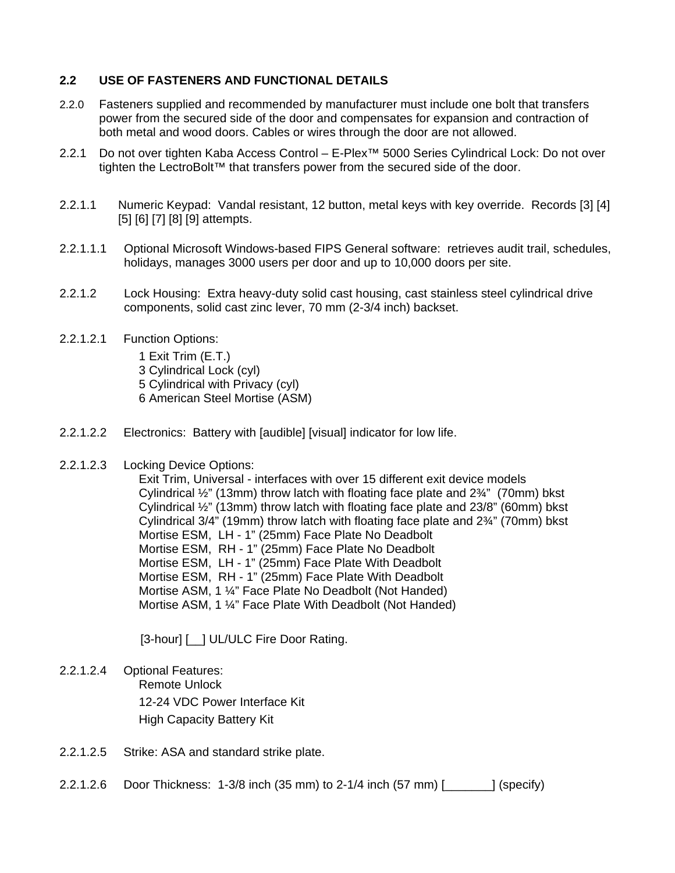#### **2.2 USE OF FASTENERS AND FUNCTIONAL DETAILS**

- 2.2.0 Fasteners supplied and recommended by manufacturer must include one bolt that transfers power from the secured side of the door and compensates for expansion and contraction of both metal and wood doors. Cables or wires through the door are not allowed.
- 2.2.1 Do not over tighten Kaba Access Control E-Plex™ 5000 Series Cylindrical Lock: Do not over tighten the LectroBolt™ that transfers power from the secured side of the door.
- 2.2.1.1 Numeric Keypad: Vandal resistant, 12 button, metal keys with key override. Records [3] [4] [5] [6] [7] [8] [9] attempts.
- 2.2.1.1.1 Optional Microsoft Windows-based FIPS General software: retrieves audit trail, schedules, holidays, manages 3000 users per door and up to 10,000 doors per site.
- 2.2.1.2 Lock Housing: Extra heavy-duty solid cast housing, cast stainless steel cylindrical drive components, solid cast zinc lever, 70 mm (2-3/4 inch) backset.
- 2.2.1.2.1 Function Options:

1 Exit Trim (E.T.) 3 Cylindrical Lock (cyl) 5 Cylindrical with Privacy (cyl) 6 American Steel Mortise (ASM)

- 2.2.1.2.2 Electronics: Battery with [audible] [visual] indicator for low life.
- 2.2.1.2.3 Locking Device Options:

Exit Trim, Universal - interfaces with over 15 different exit device models Cylindrical ½" (13mm) throw latch with floating face plate and 2¾" (70mm) bkst Cylindrical ½" (13mm) throw latch with floating face plate and 23/8" (60mm) bkst Cylindrical 3/4" (19mm) throw latch with floating face plate and 2¾" (70mm) bkst Mortise ESM, LH - 1" (25mm) Face Plate No Deadbolt Mortise ESM, RH - 1" (25mm) Face Plate No Deadbolt Mortise ESM, LH - 1" (25mm) Face Plate With Deadbolt Mortise ESM, RH - 1" (25mm) Face Plate With Deadbolt Mortise ASM, 1 ¼" Face Plate No Deadbolt (Not Handed) Mortise ASM, 1 ¼" Face Plate With Deadbolt (Not Handed)

[3-hour] [  $\blacksquare$ ] UL/ULC Fire Door Rating.

- 2.2.1.2.4 Optional Features: Remote Unlock 12-24 VDC Power Interface Kit High Capacity Battery Kit
- 2.2.1.2.5 Strike: ASA and standard strike plate.
- 2.2.1.2.6 Door Thickness: 1-3/8 inch (35 mm) to 2-1/4 inch (57 mm) [\_\_\_\_\_\_\_] (specify)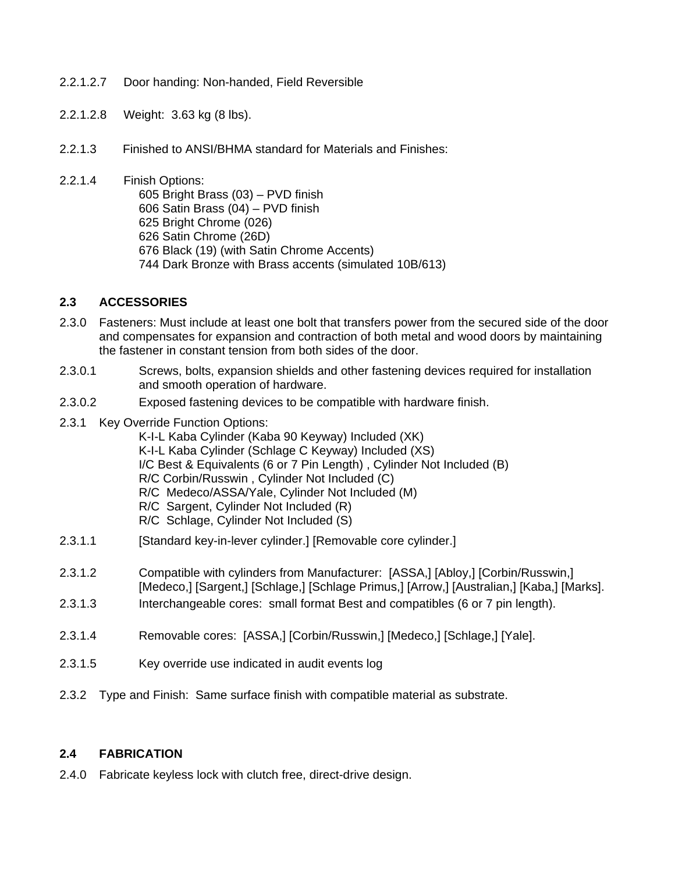- 2.2.1.2.7 Door handing: Non-handed, Field Reversible
- 2.2.1.2.8 Weight: 3.63 kg (8 lbs).
- 2.2.1.3 Finished to ANSI/BHMA standard for Materials and Finishes:
- 2.2.1.4 Finish Options: 605 Bright Brass (03) – PVD finish 606 Satin Brass (04) – PVD finish 625 Bright Chrome (026) 626 Satin Chrome (26D) 676 Black (19) (with Satin Chrome Accents) 744 Dark Bronze with Brass accents (simulated 10B/613)

#### **2.3 ACCESSORIES**

- 2.3.0 Fasteners: Must include at least one bolt that transfers power from the secured side of the door and compensates for expansion and contraction of both metal and wood doors by maintaining the fastener in constant tension from both sides of the door.
- 2.3.0.1 Screws, bolts, expansion shields and other fastening devices required for installation and smooth operation of hardware.
- 2.3.0.2 Exposed fastening devices to be compatible with hardware finish.
- 2.3.1 Key Override Function Options:
	- K-I-L Kaba Cylinder (Kaba 90 Keyway) Included (XK) K-I-L Kaba Cylinder (Schlage C Keyway) Included (XS) I/C Best & Equivalents (6 or 7 Pin Length) , Cylinder Not Included (B) R/C Corbin/Russwin , Cylinder Not Included (C) R/C Medeco/ASSA/Yale, Cylinder Not Included (M) R/C Sargent, Cylinder Not Included (R) R/C Schlage, Cylinder Not Included (S)
- 2.3.1.1 [Standard key-in-lever cylinder.] [Removable core cylinder.]
- 2.3.1.2 Compatible with cylinders from Manufacturer: [ASSA,] [Abloy,] [Corbin/Russwin,] [Medeco,] [Sargent,] [Schlage,] [Schlage Primus,] [Arrow,] [Australian,] [Kaba,] [Marks].
- 2.3.1.3 Interchangeable cores: small format Best and compatibles (6 or 7 pin length).
- 2.3.1.4 Removable cores: [ASSA,] [Corbin/Russwin,] [Medeco,] [Schlage,] [Yale].
- 2.3.1.5 Key override use indicated in audit events log
- 2.3.2 Type and Finish: Same surface finish with compatible material as substrate.

#### **2.4 FABRICATION**

2.4.0 Fabricate keyless lock with clutch free, direct-drive design.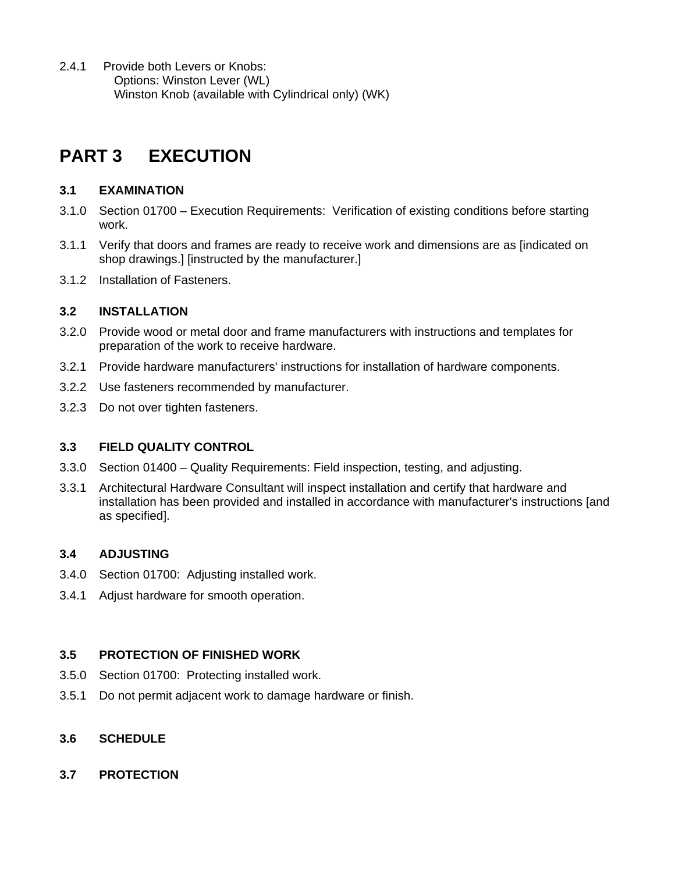2.4.1 Provide both Levers or Knobs: Options: Winston Lever (WL) Winston Knob (available with Cylindrical only) (WK)

## **PART 3 EXECUTION**

## **3.1 EXAMINATION**

- 3.1.0 Section 01700 Execution Requirements: Verification of existing conditions before starting work.
- 3.1.1 Verify that doors and frames are ready to receive work and dimensions are as [indicated on shop drawings.] [instructed by the manufacturer.]
- 3.1.2 Installation of Fasteners.

## **3.2 INSTALLATION**

- 3.2.0 Provide wood or metal door and frame manufacturers with instructions and templates for preparation of the work to receive hardware.
- 3.2.1 Provide hardware manufacturers' instructions for installation of hardware components.
- 3.2.2 Use fasteners recommended by manufacturer.
- 3.2.3 Do not over tighten fasteners.

## **3.3 FIELD QUALITY CONTROL**

- 3.3.0 Section 01400 Quality Requirements: Field inspection, testing, and adjusting.
- 3.3.1 Architectural Hardware Consultant will inspect installation and certify that hardware and installation has been provided and installed in accordance with manufacturer's instructions [and as specified].

## **3.4 ADJUSTING**

- 3.4.0 Section 01700: Adjusting installed work.
- 3.4.1 Adjust hardware for smooth operation.

## **3.5 PROTECTION OF FINISHED WORK**

- 3.5.0 Section 01700: Protecting installed work.
- 3.5.1 Do not permit adjacent work to damage hardware or finish.

## **3.6 SCHEDULE**

**3.7 PROTECTION**